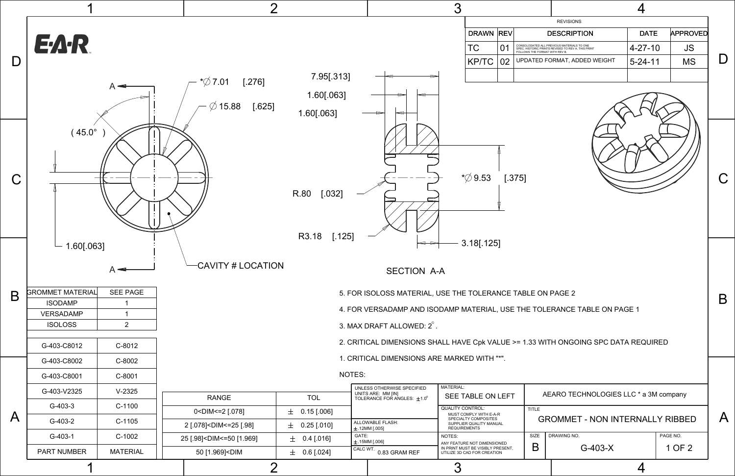A

B

C



AEARO TECHNOLOGIES LLC \* a 3M company

| <b>REVISIONS</b> |             |                                                                              |                                                    |               |                 |  |  |
|------------------|-------------|------------------------------------------------------------------------------|----------------------------------------------------|---------------|-----------------|--|--|
| <b>DRAWN</b>     | <b>REVI</b> |                                                                              | <b>DESCRIPTION</b>                                 | <b>DATE</b>   | <b>APPROVED</b> |  |  |
| ТC               | 01          | CONSOLODATED ALL PREVIOUS MATERIALS TO ONE<br>FOLLOWS THE FORMAT WITH REV B. | SPEC. HISTORIC PRINTS REVISED TO REV A. THIS PRINT | $4 - 27 - 10$ | JS              |  |  |
| KP/TC   02       |             |                                                                              | UPDATED FORMAT, ADDED WEIGHT                       | $5 - 24 - 11$ | <b>MS</b>       |  |  |
|                  |             |                                                                              |                                                    |               |                 |  |  |



PAGE NO.

SIZE DRAWING NO. G-403-X

GROMMET - NON INTERNALLY RIBBED